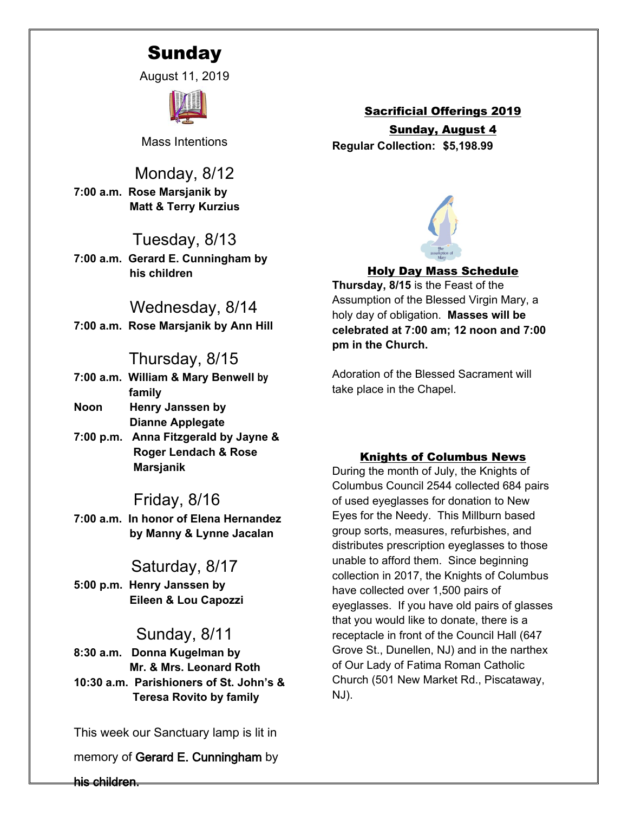# **Sunday**

August 11, 2019



Mass Intentions

Monday, 8/12 **7:00 a.m. Rose Marsjanik by Matt & Terry Kurzius**

# Tuesday, 8/13

**7:00 a.m. Gerard E. Cunningham by his children**

# Wednesday, 8/14

**7:00 a.m. Rose Marsjanik by Ann Hill**

# Thursday, 8/15

- **7:00 a.m. William & Mary Benwell by family**
- **Noon Henry Janssen by Dianne Applegate**
- **7:00 p.m. Anna Fitzgerald by Jayne & Roger Lendach & Rose Marsjanik**

# Friday, 8/16

**7:00 a.m. In honor of Elena Hernandez by Manny & Lynne Jacalan**

# Saturday, 8/17

**5:00 p.m. Henry Janssen by Eileen & Lou Capozzi**

# Sunday, 8/11

**8:30 a.m. Donna Kugelman by Mr. & Mrs. Leonard Roth 10:30 a.m. Parishioners of St. John's & Teresa Rovito by family**

This week our Sanctuary lamp is lit in

memory of **Gerard E. Cunningham** by

Sacrificial Offerings 2019 Sunday, August 4 **Regular Collection: \$5,198.99**



### Holy Day Mass Schedule

**Thursday, 8/15** is the Feast of the Assumption of the Blessed Virgin Mary, a holy day of obligation. **Masses will be celebrated at 7:00 am; 12 noon and 7:00 pm in the Church.**

Adoration of the Blessed Sacrament will take place in the Chapel.

### Knights of Columbus News

During the month of July, the Knights of Columbus Council 2544 collected 684 pairs of used eyeglasses for donation to New Eyes for the Needy. This Millburn based group sorts, measures, refurbishes, and distributes prescription eyeglasses to those unable to afford them. Since beginning collection in 2017, the Knights of Columbus have collected over 1,500 pairs of eyeglasses. If you have old pairs of glasses that you would like to donate, there is a receptacle in front of the Council Hall (647 Grove St., Dunellen, NJ) and in the narthex of Our Lady of Fatima Roman Catholic Church (501 New Market Rd., Piscataway, NJ).

**his children.**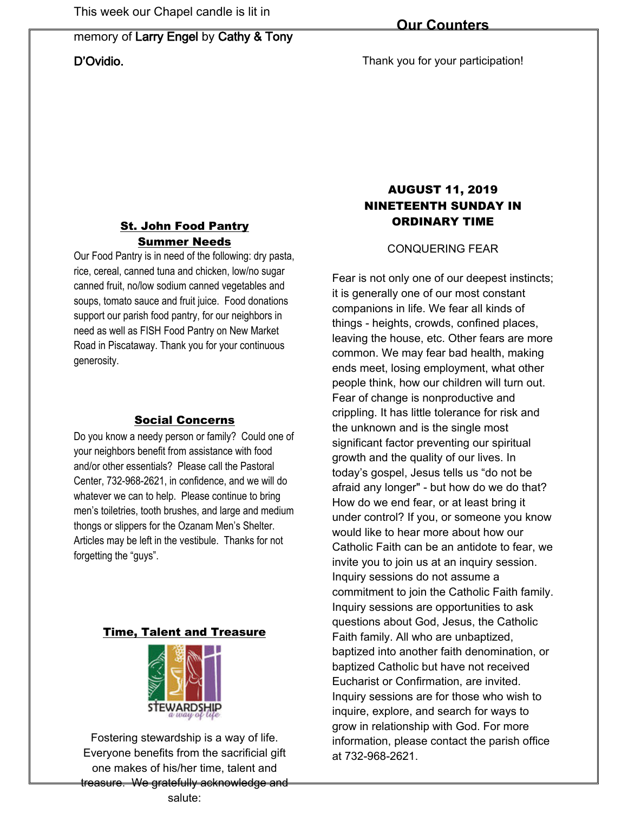# memory of **Larry Engel** by **Cathy & Tony D'Ovidio.**

Thank you for your participation!

# St. John Food Pantry Summer Needs

Our Food Pantry is in need of the following: dry pasta, rice, cereal, canned tuna and chicken, low/no sugar canned fruit, no/low sodium canned vegetables and soups, tomato sauce and fruit juice. Food donations support our parish food pantry, for our neighbors in need as well as FISH Food Pantry on New Market Road in Piscataway. Thank you for your continuous generosity.

### Social Concerns

Do you know a needy person or family? Could one of your neighbors benefit from assistance with food and/or other essentials? Please call the Pastoral Center, 732-968-2621, in confidence, and we will do whatever we can to help. Please continue to bring men's toiletries, tooth brushes, and large and medium thongs or slippers for the Ozanam Men's Shelter. Articles may be left in the vestibule. Thanks for not forgetting the "guys".

### Time, Talent and Treasure



Fostering stewardship is a way of life. Everyone benefits from the sacrificial gift one makes of his/her time, talent and treasure. We gratefully acknowledge and salute:

# AUGUST 11, 2019 NINETEENTH SUNDAY IN ORDINARY TIME

CONQUERING FEAR

Fear is not only one of our deepest instincts; it is generally one of our most constant companions in life. We fear all kinds of things - heights, crowds, confined places, leaving the house, etc. Other fears are more common. We may fear bad health, making ends meet, losing employment, what other people think, how our children will turn out. Fear of change is nonproductive and crippling. It has little tolerance for risk and the unknown and is the single most significant factor preventing our spiritual growth and the quality of our lives. In today's gospel, Jesus tells us "do not be afraid any longer" - but how do we do that? How do we end fear, or at least bring it under control? If you, or someone you know would like to hear more about how our Catholic Faith can be an antidote to fear, we invite you to join us at an inquiry session. Inquiry sessions do not assume a commitment to join the Catholic Faith family. Inquiry sessions are opportunities to ask questions about God, Jesus, the Catholic Faith family. All who are unbaptized, baptized into another faith denomination, or baptized Catholic but have not received Eucharist or Confirmation, are invited. Inquiry sessions are for those who wish to inquire, explore, and search for ways to grow in relationship with God. For more information, please contact the parish office at 732-968-2621.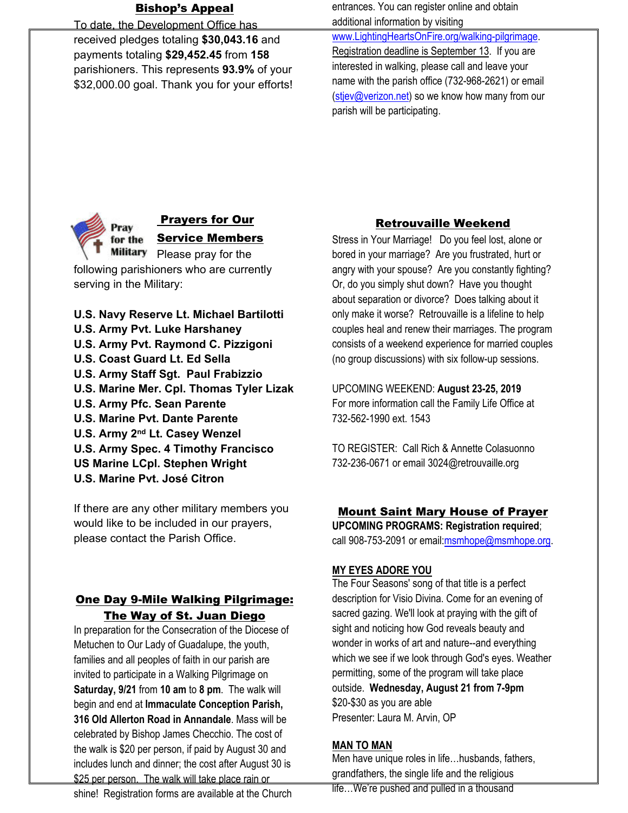# Bishop's Appeal

To date, the Development Office has received pledges totaling **\$30,043.16** and payments totaling **\$29,452.45** from **158** parishioners. This represents **93.9%** of your \$32,000.00 goal. Thank you for your efforts! entrances. You can register online and obtain additional information by visiting

[www.LightingHeartsOnFire.org/walking-pilgrimage.](http://www.lightingheartsonfire.org/walking-pilgrimage) Registration deadline is September 13. If you are interested in walking, please call and leave your name with the parish office (732-968-2621) or email [\(stjev@verizon.net\)](mailto:stjev@verizon.net) so we know how many from our parish will be participating.



### Prayers for Our Service Members

Military Please pray for the following parishioners who are currently serving in the Military:

**U.S. Navy Reserve Lt. Michael Bartilotti U.S. Army Pvt. Luke Harshaney U.S. Army Pvt. Raymond C. Pizzigoni U.S. Coast Guard Lt. Ed Sella U.S. Army Staff Sgt. Paul Frabizzio U.S. Marine Mer. Cpl. Thomas Tyler Lizak U.S. Army Pfc. Sean Parente U.S. Marine Pvt. Dante Parente U.S. Army 2nd Lt. Casey Wenzel U.S. Army Spec. 4 Timothy Francisco US Marine LCpl. Stephen Wright U.S. Marine Pvt. José Citron**

If there are any other military members you would like to be included in our prayers, please contact the Parish Office.

# One Day 9-Mile Walking Pilgrimage: The Way of St. Juan Diego

In preparation for the Consecration of the Diocese of Metuchen to Our Lady of Guadalupe, the youth, families and all peoples of faith in our parish are invited to participate in a Walking Pilgrimage on **Saturday, 9/21** from **10 am** to **8 pm**. The walk will begin and end at **Immaculate Conception Parish, 316 Old Allerton Road in Annandale**. Mass will be celebrated by Bishop James Checchio. The cost of the walk is \$20 per person, if paid by August 30 and includes lunch and dinner; the cost after August 30 is \$25 per person. The walk will take place rain or

#### shine! Registration forms are available at the Church

# Retrouvaille Weekend

Stress in Your Marriage! Do you feel lost, alone or bored in your marriage? Are you frustrated, hurt or angry with your spouse? Are you constantly fighting? Or, do you simply shut down? Have you thought about separation or divorce? Does talking about it only make it worse? Retrouvaille is a lifeline to help couples heal and renew their marriages. The program consists of a weekend experience for married couples (no group discussions) with six follow-up sessions.

UPCOMING WEEKEND: **August 23-25, 2019** For more information call the Family Life Office at 732-562-1990 ext. 1543

TO REGISTER: Call Rich & Annette Colasuonno 732-236-0671 or email 3024@retrouvaille.org

#### Mount Saint Mary House of Prayer

**UPCOMING PROGRAMS: Registration required**; call 908-753-2091 or email[:msmhope@msmhope.org](mailto:msmhope@msmhope.org).

### **MY EYES ADORE YOU**

The Four Seasons' song of that title is a perfect description for Visio Divina. Come for an evening of sacred gazing. We'll look at praying with the gift of sight and noticing how God reveals beauty and wonder in works of art and nature--and everything which we see if we look through God's eyes. Weather permitting, some of the program will take place outside. **Wednesday, August 21 from 7-9pm** \$20-\$30 as you are able Presenter: Laura M. Arvin, OP

### **MAN TO MAN**

Men have unique roles in life…husbands, fathers, grandfathers, the single life and the religious

life…We're pushed and pulled in a thousand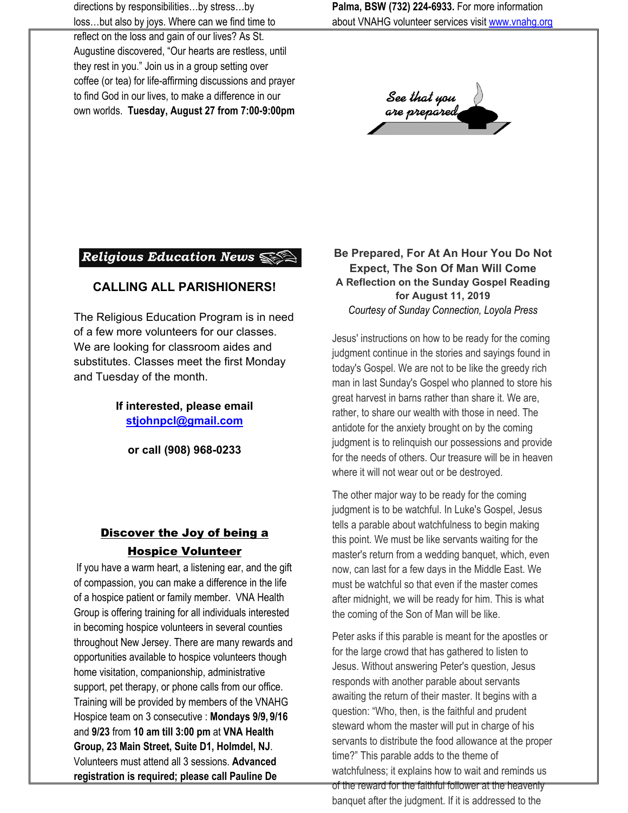directions by responsibilities…by stress…by loss…but also by joys. Where can we find time to

reflect on the loss and gain of our lives? As St. Augustine discovered, "Our hearts are restless, until they rest in you." Join us in a group setting over coffee (or tea) for life-affirming discussions and prayer to find God in our lives, to make a difference in our own worlds. **Tuesday, August 27 from 7:00-9:00pm** **Palma, BSW (732) 224-6933.** For more information about VNAHG volunteer services visit [www.vnahg.org](http://www.vnahg.org/)

See that you<br>are prepared

# Religious Education News

#### **CALLING ALL PARISHIONERS!**

The Religious Education Program is in need of a few more volunteers for our classes. We are looking for classroom aides and substitutes. Classes meet the first Monday and Tuesday of the month.

> **If interested, please email [stjohnpcl@gmail.com](mailto:stjohnpcl@gmail.com)**

**or call (908) 968-0233**

# Discover the Joy of being a Hospice Volunteer

If you have a warm heart, a listening ear, and the gift of compassion, you can make a difference in the life of a hospice patient or family member. VNA Health Group is offering training for all individuals interested in becoming hospice volunteers in several counties throughout New Jersey. There are many rewards and opportunities available to hospice volunteers though home visitation, companionship, administrative support, pet therapy, or phone calls from our office. Training will be provided by members of the VNAHG Hospice team on 3 consecutive : **Mondays 9/9, 9/16** and **9/23** from **10 am till 3:00 pm** at **VNA Health Group, 23 Main Street, Suite D1, Holmdel, NJ**. Volunteers must attend all 3 sessions. **Advanced registration is required; please call Pauline De** 

#### **Be Prepared, For At An Hour You Do Not Expect, The Son Of Man Will Come A Reflection on the Sunday Gospel Reading for August 11, 2019** *Courtesy of Sunday Connection, Loyola Press*

Jesus' instructions on how to be ready for the coming judgment continue in the stories and sayings found in today's Gospel. We are not to be like the greedy rich man in last Sunday's Gospel who planned to store his great harvest in barns rather than share it. We are, rather, to share our wealth with those in need. The antidote for the anxiety brought on by the coming judgment is to relinquish our possessions and provide for the needs of others. Our treasure will be in heaven where it will not wear out or be destroyed.

The other major way to be ready for the coming judgment is to be watchful. In Luke's Gospel, Jesus tells a parable about watchfulness to begin making this point. We must be like servants waiting for the master's return from a wedding banquet, which, even now, can last for a few days in the Middle East. We must be watchful so that even if the master comes after midnight, we will be ready for him. This is what the coming of the Son of Man will be like.

Peter asks if this parable is meant for the apostles or for the large crowd that has gathered to listen to Jesus. Without answering Peter's question, Jesus responds with another parable about servants awaiting the return of their master. It begins with a question: "Who, then, is the faithful and prudent steward whom the master will put in charge of his servants to distribute the food allowance at the proper time?" This parable adds to the theme of watchfulness; it explains how to wait and reminds us

of the reward for the faithful follower at the heavenly banquet after the judgment. If it is addressed to the